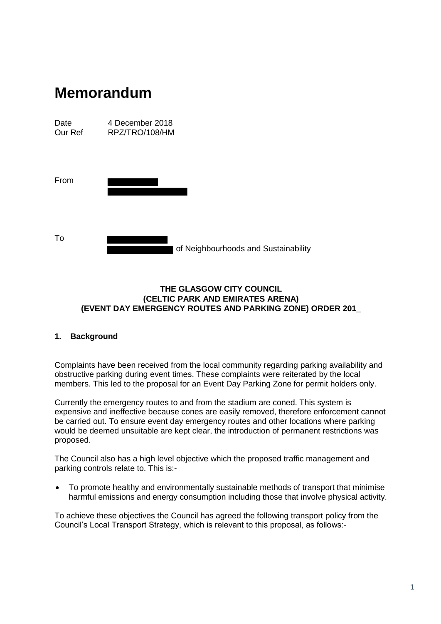| Date    | 4 December 2018 |
|---------|-----------------|
| Our Ref | RPZ/TRO/108/HM  |

| From |  |  |
|------|--|--|
|      |  |  |
|      |  |  |
|      |  |  |
| To   |  |  |

# **THE GLASGOW CITY COUNCIL (CELTIC PARK AND EMIRATES ARENA)**

of Neighbourhoods and Sustainability

# **(EVENT DAY EMERGENCY ROUTES AND PARKING ZONE) ORDER 201\_**

# **1. Background**

Complaints have been received from the local community regarding parking availability and obstructive parking during event times. These complaints were reiterated by the local members. This led to the proposal for an Event Day Parking Zone for permit holders only.

Currently the emergency routes to and from the stadium are coned. This system is expensive and ineffective because cones are easily removed, therefore enforcement cannot be carried out. To ensure event day emergency routes and other locations where parking would be deemed unsuitable are kept clear, the introduction of permanent restrictions was proposed.

The Council also has a high level objective which the proposed traffic management and parking controls relate to. This is:-

• To promote healthy and environmentally sustainable methods of transport that minimise harmful emissions and energy consumption including those that involve physical activity.

To achieve these objectives the Council has agreed the following transport policy from the Council's Local Transport Strategy, which is relevant to this proposal, as follows:-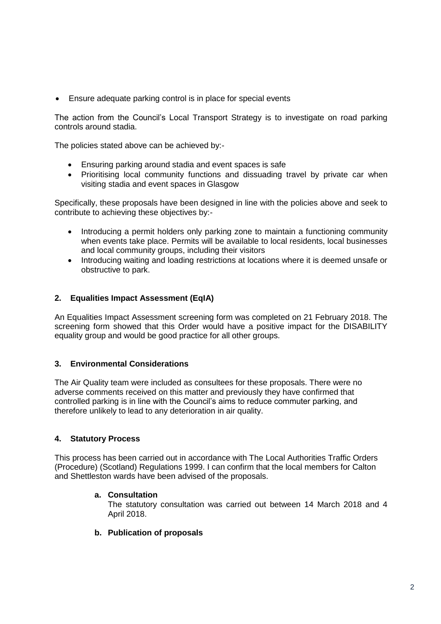Ensure adequate parking control is in place for special events

The action from the Council's Local Transport Strategy is to investigate on road parking controls around stadia.

The policies stated above can be achieved by:-

- Ensuring parking around stadia and event spaces is safe
- Prioritising local community functions and dissuading travel by private car when visiting stadia and event spaces in Glasgow

Specifically, these proposals have been designed in line with the policies above and seek to contribute to achieving these objectives by:-

- Introducing a permit holders only parking zone to maintain a functioning community when events take place. Permits will be available to local residents, local businesses and local community groups, including their visitors
- Introducing waiting and loading restrictions at locations where it is deemed unsafe or obstructive to park.

# **2. Equalities Impact Assessment (EqIA)**

An Equalities Impact Assessment screening form was completed on 21 February 2018. The screening form showed that this Order would have a positive impact for the DISABILITY equality group and would be good practice for all other groups.

# **3. Environmental Considerations**

The Air Quality team were included as consultees for these proposals. There were no adverse comments received on this matter and previously they have confirmed that controlled parking is in line with the Council's aims to reduce commuter parking, and therefore unlikely to lead to any deterioration in air quality.

# **4. Statutory Process**

This process has been carried out in accordance with The Local Authorities Traffic Orders (Procedure) (Scotland) Regulations 1999. I can confirm that the local members for Calton and Shettleston wards have been advised of the proposals.

# **a. Consultation**

The statutory consultation was carried out between 14 March 2018 and 4 April 2018.

**b. Publication of proposals**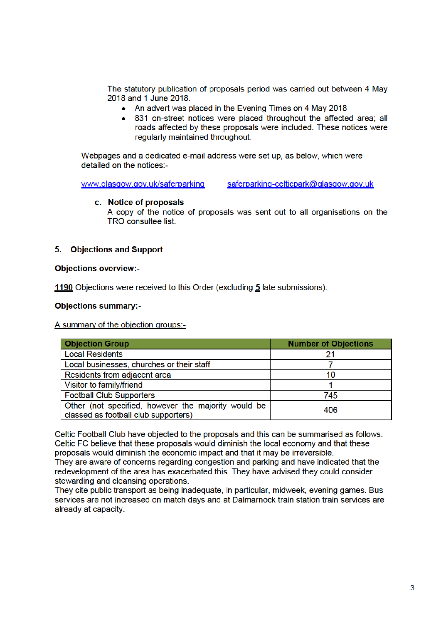The statutory publication of proposals period was carried out between 4 May 2018 and 1 June 2018.

- An advert was placed in the Evening Times on 4 May 2018
- 831 on-street notices were placed throughout the affected area; all roads affected by these proposals were included. These notices were regularly maintained throughout.

Webpages and a dedicated e-mail address were set up, as below, which were detailed on the notices:-

www.glasgow.gov.uk/saferparking saferparking-celticpark@glasgow.gov.uk

#### c. Notice of proposals

A copy of the notice of proposals was sent out to all organisations on the TRO consultee list.

# 5. Objections and Support

#### **Objections overview:-**

1190 Objections were received to this Order (excluding 5 late submissions).

#### **Objections summary:-**

A summary of the objection groups:-

| <b>Objection Group</b>                                                                      | <b>Number of Objections</b> |
|---------------------------------------------------------------------------------------------|-----------------------------|
| <b>Local Residents</b>                                                                      | 21                          |
| Local businesses, churches or their staff                                                   |                             |
| Residents from adjacent area                                                                | 10                          |
| Visitor to family/friend                                                                    |                             |
| <b>Football Club Supporters</b>                                                             | 745                         |
| Other (not specified, however the majority would be<br>classed as football club supporters) | 406                         |

Celtic Football Club have objected to the proposals and this can be summarised as follows. Celtic FC believe that these proposals would diminish the local economy and that these proposals would diminish the economic impact and that it may be irreversible.

They are aware of concerns regarding congestion and parking and have indicated that the redevelopment of the area has exacerbated this. They have advised they could consider stewarding and cleansing operations.

They cite public transport as being inadequate, in particular, midweek, evening games. Bus services are not increased on match days and at Dalmarnock train station train services are already at capacity.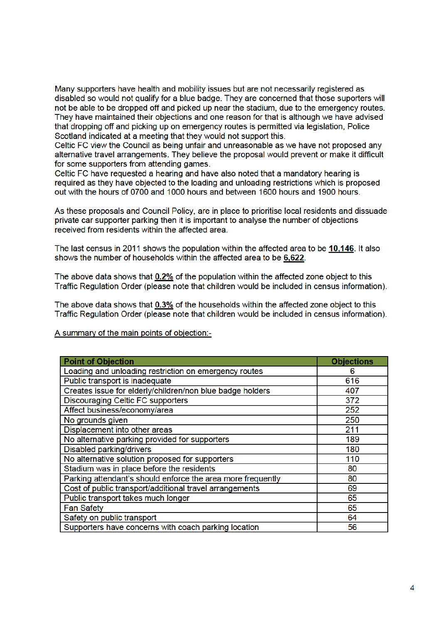Many supporters have health and mobility issues but are not necessarily registered as disabled so would not qualify for a blue badge. They are concerned that those suporters will not be able to be dropped off and picked up near the stadium, due to the emergency routes. They have maintained their objections and one reason for that is although we have advised that dropping off and picking up on emergency routes is permitted via legislation, Police Scotland indicated at a meeting that they would not support this.

Celtic FC view the Council as being unfair and unreasonable as we have not proposed any alternative travel arrangements. They believe the proposal would prevent or make it difficult for some supporters from attending games.

Celtic FC have requested a hearing and have also noted that a mandatory hearing is required as they have objected to the loading and unloading restrictions which is proposed out with the hours of 0700 and 1000 hours and between 1600 hours and 1900 hours.

As these proposals and Council Policy, are in place to prioritise local residents and dissuade private car supporter parking then it is important to analyse the number of objections received from residents within the affected area.

The last census in 2011 shows the population within the affected area to be 10,146. It also shows the number of households within the affected area to be 6,622.

The above data shows that 0.2% of the population within the affected zone object to this Traffic Regulation Order (please note that children would be included in census information).

The above data shows that 0.3% of the households within the affected zone object to this Traffic Regulation Order (please note that children would be included in census information).

A summary of the main points of objection:-

| <b>Point of Objection</b>                                   | <b>Objections</b> |
|-------------------------------------------------------------|-------------------|
| Loading and unloading restriction on emergency routes       | 6                 |
| Public transport is inadequate                              | 616               |
| Creates issue for elderly/children/non blue badge holders   | 407               |
| <b>Discouraging Celtic FC supporters</b>                    | 372               |
| Affect business/economy/area                                | 252               |
| No grounds given                                            | 250               |
| Displacement into other areas                               | 211               |
| No alternative parking provided for supporters              | 189               |
| Disabled parking/drivers                                    | 180               |
| No alternative solution proposed for supporters             | 110               |
| Stadium was in place before the residents                   | 80                |
| Parking attendant's should enforce the area more frequently | 80                |
| Cost of public transport/additional travel arrangements     | 69                |
| Public transport takes much longer                          | 65                |
| <b>Fan Safety</b>                                           | 65                |
| Safety on public transport                                  | 64                |
| Supporters have concerns with coach parking location        | 56                |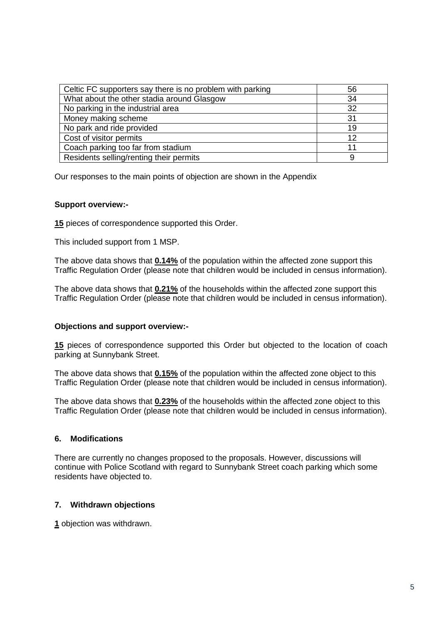| Celtic FC supporters say there is no problem with parking | 56 |
|-----------------------------------------------------------|----|
| What about the other stadia around Glasgow                | 34 |
| No parking in the industrial area                         | 32 |
| Money making scheme                                       | 31 |
| No park and ride provided                                 | 19 |
| Cost of visitor permits                                   | 12 |
| Coach parking too far from stadium                        | 11 |
| Residents selling/renting their permits                   | 9  |

Our responses to the main points of objection are shown in the Appendix

#### **Support overview:-**

**15** pieces of correspondence supported this Order.

This included support from 1 MSP.

The above data shows that **0.14%** of the population within the affected zone support this Traffic Regulation Order (please note that children would be included in census information).

The above data shows that **0.21%** of the households within the affected zone support this Traffic Regulation Order (please note that children would be included in census information).

# **Objections and support overview:-**

**15** pieces of correspondence supported this Order but objected to the location of coach parking at Sunnybank Street.

The above data shows that **0.15%** of the population within the affected zone object to this Traffic Regulation Order (please note that children would be included in census information).

The above data shows that **0.23%** of the households within the affected zone object to this Traffic Regulation Order (please note that children would be included in census information).

# **6. Modifications**

There are currently no changes proposed to the proposals. However, discussions will continue with Police Scotland with regard to Sunnybank Street coach parking which some residents have objected to.

# **7. Withdrawn objections**

**1** objection was withdrawn.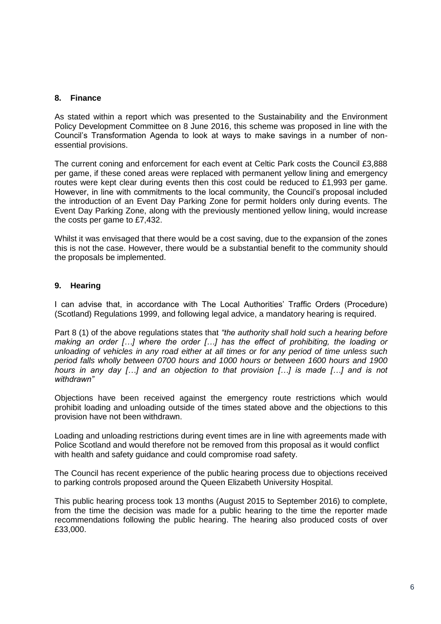# **8. Finance**

As stated within a report which was presented to the Sustainability and the Environment Policy Development Committee on 8 June 2016, this scheme was proposed in line with the Council's Transformation Agenda to look at ways to make savings in a number of nonessential provisions.

The current coning and enforcement for each event at Celtic Park costs the Council £3,888 per game, if these coned areas were replaced with permanent yellow lining and emergency routes were kept clear during events then this cost could be reduced to £1,993 per game. However, in line with commitments to the local community, the Council's proposal included the introduction of an Event Day Parking Zone for permit holders only during events. The Event Day Parking Zone, along with the previously mentioned yellow lining, would increase the costs per game to £7,432.

Whilst it was envisaged that there would be a cost saving, due to the expansion of the zones this is not the case. However, there would be a substantial benefit to the community should the proposals be implemented.

# **9. Hearing**

I can advise that, in accordance with The Local Authorities' Traffic Orders (Procedure) (Scotland) Regulations 1999, and following legal advice, a mandatory hearing is required.

Part 8 (1) of the above regulations states that *"the authority shall hold such a hearing before making an order […] where the order […] has the effect of prohibiting, the loading or unloading of vehicles in any road either at all times or for any period of time unless such period falls wholly between 0700 hours and 1000 hours or between 1600 hours and 1900 hours in any day […] and an objection to that provision […] is made […] and is not withdrawn"*

Objections have been received against the emergency route restrictions which would prohibit loading and unloading outside of the times stated above and the objections to this provision have not been withdrawn.

Loading and unloading restrictions during event times are in line with agreements made with Police Scotland and would therefore not be removed from this proposal as it would conflict with health and safety guidance and could compromise road safety.

The Council has recent experience of the public hearing process due to objections received to parking controls proposed around the Queen Elizabeth University Hospital.

This public hearing process took 13 months (August 2015 to September 2016) to complete, from the time the decision was made for a public hearing to the time the reporter made recommendations following the public hearing. The hearing also produced costs of over £33,000.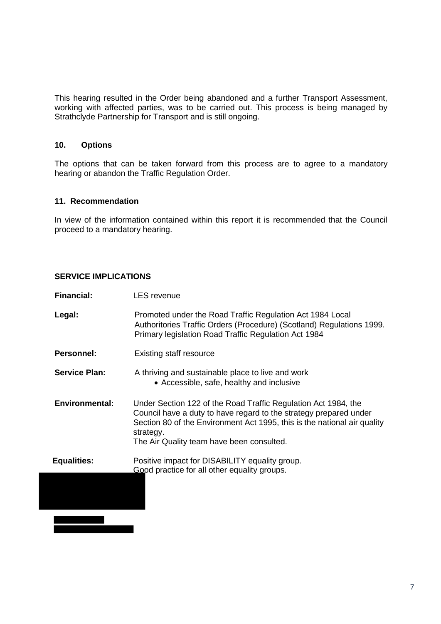This hearing resulted in the Order being abandoned and a further Transport Assessment, working with affected parties, was to be carried out. This process is being managed by Strathclyde Partnership for Transport and is still ongoing.

# **10. Options**

The options that can be taken forward from this process are to agree to a mandatory hearing or abandon the Traffic Regulation Order.

# **11. Recommendation**

In view of the information contained within this report it is recommended that the Council proceed to a mandatory hearing.

### **SERVICE IMPLICATIONS**

| <b>Financial:</b>     | <b>LES</b> revenue                                                                                                                                                                                                                                                        |
|-----------------------|---------------------------------------------------------------------------------------------------------------------------------------------------------------------------------------------------------------------------------------------------------------------------|
| Legal:                | Promoted under the Road Traffic Regulation Act 1984 Local<br>Authoritories Traffic Orders (Procedure) (Scotland) Regulations 1999.<br>Primary legislation Road Traffic Regulation Act 1984                                                                                |
| <b>Personnel:</b>     | <b>Existing staff resource</b>                                                                                                                                                                                                                                            |
| <b>Service Plan:</b>  | A thriving and sustainable place to live and work<br>• Accessible, safe, healthy and inclusive                                                                                                                                                                            |
| <b>Environmental:</b> | Under Section 122 of the Road Traffic Regulation Act 1984, the<br>Council have a duty to have regard to the strategy prepared under<br>Section 80 of the Environment Act 1995, this is the national air quality<br>strategy.<br>The Air Quality team have been consulted. |
| <b>Equalities:</b>    | Positive impact for DISABILITY equality group.<br>Good practice for all other equality groups.                                                                                                                                                                            |
|                       |                                                                                                                                                                                                                                                                           |
|                       |                                                                                                                                                                                                                                                                           |
|                       |                                                                                                                                                                                                                                                                           |

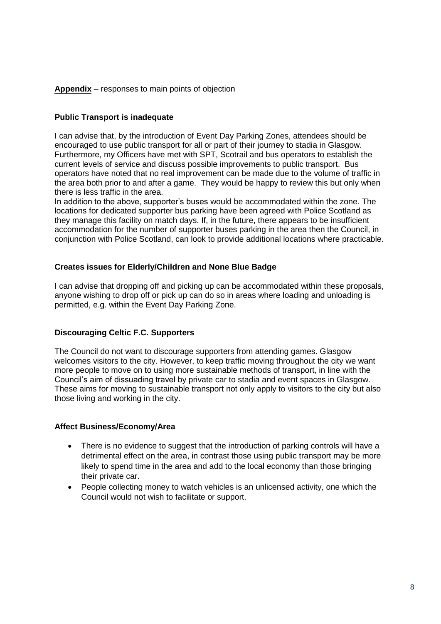# **Appendix** – responses to main points of objection

# **Public Transport is inadequate**

I can advise that, by the introduction of Event Day Parking Zones, attendees should be encouraged to use public transport for all or part of their journey to stadia in Glasgow. Furthermore, my Officers have met with SPT, Scotrail and bus operators to establish the current levels of service and discuss possible improvements to public transport. Bus operators have noted that no real improvement can be made due to the volume of traffic in the area both prior to and after a game. They would be happy to review this but only when there is less traffic in the area.

In addition to the above, supporter's buses would be accommodated within the zone. The locations for dedicated supporter bus parking have been agreed with Police Scotland as they manage this facility on match days. If, in the future, there appears to be insufficient accommodation for the number of supporter buses parking in the area then the Council, in conjunction with Police Scotland, can look to provide additional locations where practicable.

# **Creates issues for Elderly/Children and None Blue Badge**

I can advise that dropping off and picking up can be accommodated within these proposals, anyone wishing to drop off or pick up can do so in areas where loading and unloading is permitted, e.g. within the Event Day Parking Zone.

# **Discouraging Celtic F.C. Supporters**

The Council do not want to discourage supporters from attending games. Glasgow welcomes visitors to the city. However, to keep traffic moving throughout the city we want more people to move on to using more sustainable methods of transport, in line with the Council's aim of dissuading travel by private car to stadia and event spaces in Glasgow. These aims for moving to sustainable transport not only apply to visitors to the city but also those living and working in the city.

# **Affect Business/Economy/Area**

- There is no evidence to suggest that the introduction of parking controls will have a detrimental effect on the area, in contrast those using public transport may be more likely to spend time in the area and add to the local economy than those bringing their private car.
- People collecting money to watch vehicles is an unlicensed activity, one which the Council would not wish to facilitate or support.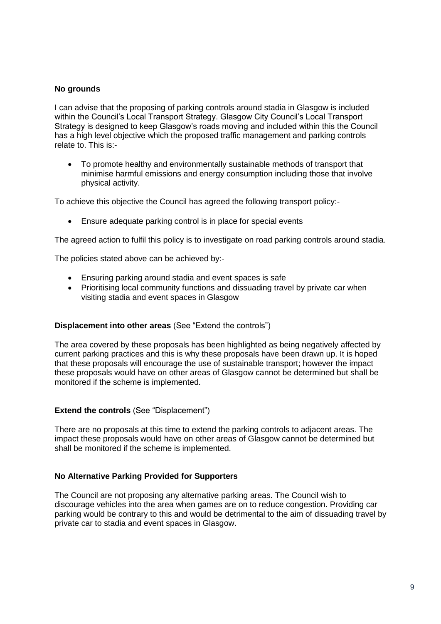# **No grounds**

I can advise that the proposing of parking controls around stadia in Glasgow is included within the Council's Local Transport Strategy. Glasgow City Council's Local Transport Strategy is designed to keep Glasgow's roads moving and included within this the Council has a high level objective which the proposed traffic management and parking controls relate to. This is:-

 To promote healthy and environmentally sustainable methods of transport that minimise harmful emissions and energy consumption including those that involve physical activity.

To achieve this objective the Council has agreed the following transport policy:-

Ensure adequate parking control is in place for special events

The agreed action to fulfil this policy is to investigate on road parking controls around stadia.

The policies stated above can be achieved by:-

- Ensuring parking around stadia and event spaces is safe
- Prioritising local community functions and dissuading travel by private car when visiting stadia and event spaces in Glasgow

#### **Displacement into other areas** (See "Extend the controls")

The area covered by these proposals has been highlighted as being negatively affected by current parking practices and this is why these proposals have been drawn up. It is hoped that these proposals will encourage the use of sustainable transport; however the impact these proposals would have on other areas of Glasgow cannot be determined but shall be monitored if the scheme is implemented.

# **Extend the controls** (See "Displacement")

There are no proposals at this time to extend the parking controls to adjacent areas. The impact these proposals would have on other areas of Glasgow cannot be determined but shall be monitored if the scheme is implemented.

# **No Alternative Parking Provided for Supporters**

The Council are not proposing any alternative parking areas. The Council wish to discourage vehicles into the area when games are on to reduce congestion. Providing car parking would be contrary to this and would be detrimental to the aim of dissuading travel by private car to stadia and event spaces in Glasgow.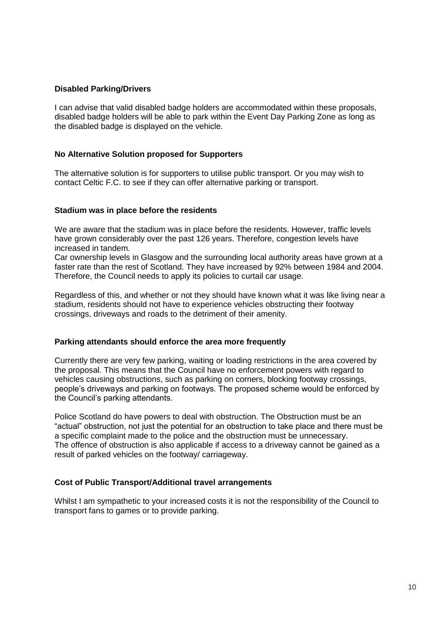# **Disabled Parking/Drivers**

I can advise that valid disabled badge holders are accommodated within these proposals, disabled badge holders will be able to park within the Event Day Parking Zone as long as the disabled badge is displayed on the vehicle.

# **No Alternative Solution proposed for Supporters**

The alternative solution is for supporters to utilise public transport. Or you may wish to contact Celtic F.C. to see if they can offer alternative parking or transport.

# **Stadium was in place before the residents**

We are aware that the stadium was in place before the residents. However, traffic levels have grown considerably over the past 126 years. Therefore, congestion levels have increased in tandem.

Car ownership levels in Glasgow and the surrounding local authority areas have grown at a faster rate than the rest of Scotland. They have increased by 92% between 1984 and 2004. Therefore, the Council needs to apply its policies to curtail car usage.

Regardless of this, and whether or not they should have known what it was like living near a stadium, residents should not have to experience vehicles obstructing their footway crossings, driveways and roads to the detriment of their amenity.

# **Parking attendants should enforce the area more frequently**

Currently there are very few parking, waiting or loading restrictions in the area covered by the proposal. This means that the Council have no enforcement powers with regard to vehicles causing obstructions, such as parking on corners, blocking footway crossings, people's driveways and parking on footways. The proposed scheme would be enforced by the Council's parking attendants.

Police Scotland do have powers to deal with obstruction. The Obstruction must be an "actual" obstruction, not just the potential for an obstruction to take place and there must be a specific complaint made to the police and the obstruction must be unnecessary. The offence of obstruction is also applicable if access to a driveway cannot be gained as a result of parked vehicles on the footway/ carriageway.

# **Cost of Public Transport/Additional travel arrangements**

Whilst I am sympathetic to your increased costs it is not the responsibility of the Council to transport fans to games or to provide parking.